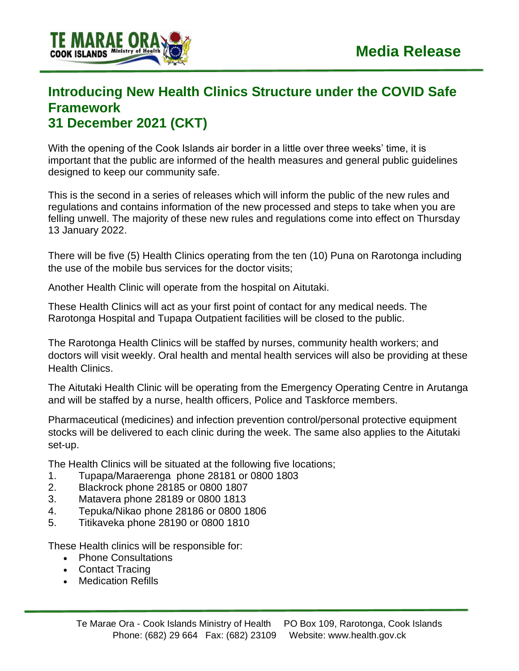

## **Introducing New Health Clinics Structure under the COVID Safe Framework 31 December 2021 (CKT)**

With the opening of the Cook Islands air border in a little over three weeks' time, it is important that the public are informed of the health measures and general public guidelines designed to keep our community safe.

This is the second in a series of releases which will inform the public of the new rules and regulations and contains information of the new processed and steps to take when you are felling unwell. The majority of these new rules and regulations come into effect on Thursday 13 January 2022.

There will be five (5) Health Clinics operating from the ten (10) Puna on Rarotonga including the use of the mobile bus services for the doctor visits;

Another Health Clinic will operate from the hospital on Aitutaki.

These Health Clinics will act as your first point of contact for any medical needs. The Rarotonga Hospital and Tupapa Outpatient facilities will be closed to the public.

The Rarotonga Health Clinics will be staffed by nurses, community health workers; and doctors will visit weekly. Oral health and mental health services will also be providing at these Health Clinics.

The Aitutaki Health Clinic will be operating from the Emergency Operating Centre in Arutanga and will be staffed by a nurse, health officers, Police and Taskforce members.

Pharmaceutical (medicines) and infection prevention control/personal protective equipment stocks will be delivered to each clinic during the week. The same also applies to the Aitutaki set-up.

The Health Clinics will be situated at the following five locations;

- 1. Tupapa/Maraerenga phone 28181 or 0800 1803
- 2. Blackrock phone 28185 or 0800 1807
- 3. Matavera phone 28189 or 0800 1813
- 4. Tepuka/Nikao phone 28186 or 0800 1806
- 5. Titikaveka phone 28190 or 0800 1810

These Health clinics will be responsible for:

- Phone Consultations
- Contact Tracing
- Medication Refills